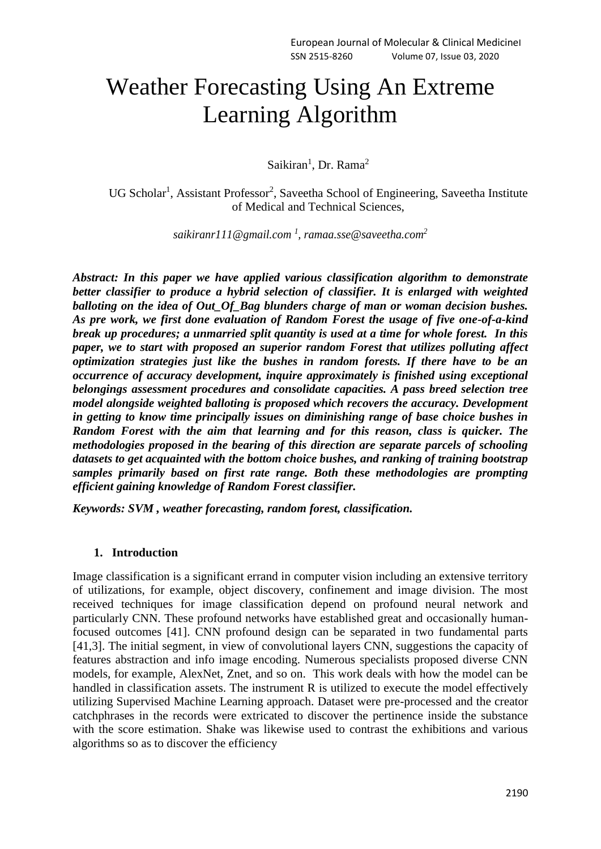# Weather Forecasting Using An Extreme Learning Algorithm

Saikiran<sup>1</sup>, Dr. Rama<sup>2</sup>

UG Scholar<sup>1</sup>, Assistant Professor<sup>2</sup>, Saveetha School of Engineering, Saveetha Institute of Medical and Technical Sciences,

*[saikiranr111@gmail.com](mailto:saikiranr111@gmail.com) <sup>1</sup> , [ramaa.sse@saveetha.com](mailto:ramaa.sse@saveetha.com)<sup>2</sup>*

*Abstract: In this paper we have applied various classification algorithm to demonstrate better classifier to produce a hybrid selection of classifier. It is enlarged with weighted balloting on the idea of Out\_Of\_Bag blunders charge of man or woman decision bushes. As pre work, we first done evaluation of Random Forest the usage of five one-of-a-kind break up procedures; a unmarried split quantity is used at a time for whole forest. In this paper, we to start with proposed an superior random Forest that utilizes polluting affect optimization strategies just like the bushes in random forests. If there have to be an occurrence of accuracy development, inquire approximately is finished using exceptional belongings assessment procedures and consolidate capacities. A pass breed selection tree model alongside weighted balloting is proposed which recovers the accuracy. Development in getting to know time principally issues on diminishing range of base choice bushes in Random Forest with the aim that learning and for this reason, class is quicker. The methodologies proposed in the bearing of this direction are separate parcels of schooling datasets to get acquainted with the bottom choice bushes, and ranking of training bootstrap samples primarily based on first rate range. Both these methodologies are prompting efficient gaining knowledge of Random Forest classifier.*

*Keywords: SVM , weather forecasting, random forest, classification.*

#### **1. Introduction**

Image classification is a significant errand in computer vision including an extensive territory of utilizations, for example, object discovery, confinement and image division. The most received techniques for image classification depend on profound neural network and particularly CNN. These profound networks have established great and occasionally humanfocused outcomes [41]. CNN profound design can be separated in two fundamental parts [41,3]. The initial segment, in view of convolutional layers CNN, suggestions the capacity of features abstraction and info image encoding. Numerous specialists proposed diverse CNN models, for example, AlexNet, Znet, and so on. This work deals with how the model can be handled in classification assets. The instrument R is utilized to execute the model effectively utilizing Supervised Machine Learning approach. Dataset were pre-processed and the creator catchphrases in the records were extricated to discover the pertinence inside the substance with the score estimation. Shake was likewise used to contrast the exhibitions and various algorithms so as to discover the efficiency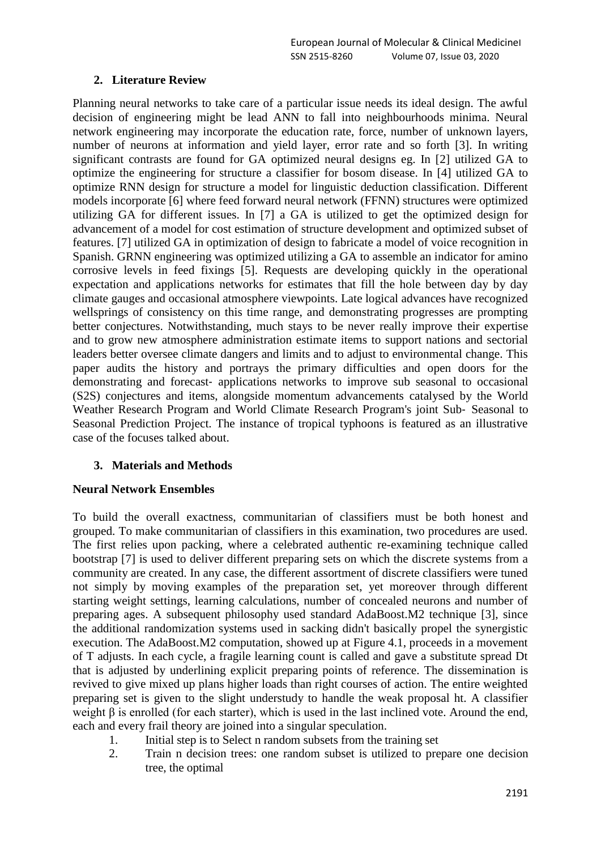# **2. Literature Review**

Planning neural networks to take care of a particular issue needs its ideal design. The awful decision of engineering might be lead ANN to fall into neighbourhoods minima. Neural network engineering may incorporate the education rate, force, number of unknown layers, number of neurons at information and yield layer, error rate and so forth [3]. In writing significant contrasts are found for GA optimized neural designs eg. In [2] utilized GA to optimize the engineering for structure a classifier for bosom disease. In [4] utilized GA to optimize RNN design for structure a model for linguistic deduction classification. Different models incorporate [6] where feed forward neural network (FFNN) structures were optimized utilizing GA for different issues. In [7] a GA is utilized to get the optimized design for advancement of a model for cost estimation of structure development and optimized subset of features. [7] utilized GA in optimization of design to fabricate a model of voice recognition in Spanish. GRNN engineering was optimized utilizing a GA to assemble an indicator for amino corrosive levels in feed fixings [5]. Requests are developing quickly in the operational expectation and applications networks for estimates that fill the hole between day by day climate gauges and occasional atmosphere viewpoints. Late logical advances have recognized wellsprings of consistency on this time range, and demonstrating progresses are prompting better conjectures. Notwithstanding, much stays to be never really improve their expertise and to grow new atmosphere administration estimate items to support nations and sectorial leaders better oversee climate dangers and limits and to adjust to environmental change. This paper audits the history and portrays the primary difficulties and open doors for the demonstrating and forecast‐ applications networks to improve sub seasonal to occasional (S2S) conjectures and items, alongside momentum advancements catalysed by the World Weather Research Program and World Climate Research Program's joint Sub‐ Seasonal to Seasonal Prediction Project. The instance of tropical typhoons is featured as an illustrative case of the focuses talked about.

### **3. Materials and Methods**

### **Neural Network Ensembles**

To build the overall exactness, communitarian of classifiers must be both honest and grouped. To make communitarian of classifiers in this examination, two procedures are used. The first relies upon packing, where a celebrated authentic re-examining technique called bootstrap [7] is used to deliver different preparing sets on which the discrete systems from a community are created. In any case, the different assortment of discrete classifiers were tuned not simply by moving examples of the preparation set, yet moreover through different starting weight settings, learning calculations, number of concealed neurons and number of preparing ages. A subsequent philosophy used standard AdaBoost.M2 technique [3], since the additional randomization systems used in sacking didn't basically propel the synergistic execution. The AdaBoost.M2 computation, showed up at Figure 4.1, proceeds in a movement of T adjusts. In each cycle, a fragile learning count is called and gave a substitute spread Dt that is adjusted by underlining explicit preparing points of reference. The dissemination is revived to give mixed up plans higher loads than right courses of action. The entire weighted preparing set is given to the slight understudy to handle the weak proposal ht. A classifier weight β is enrolled (for each starter), which is used in the last inclined vote. Around the end, each and every frail theory are joined into a singular speculation.

- 1. Initial step is to Select n random subsets from the training set
- 2. Train n decision trees: one random subset is utilized to prepare one decision tree, the optimal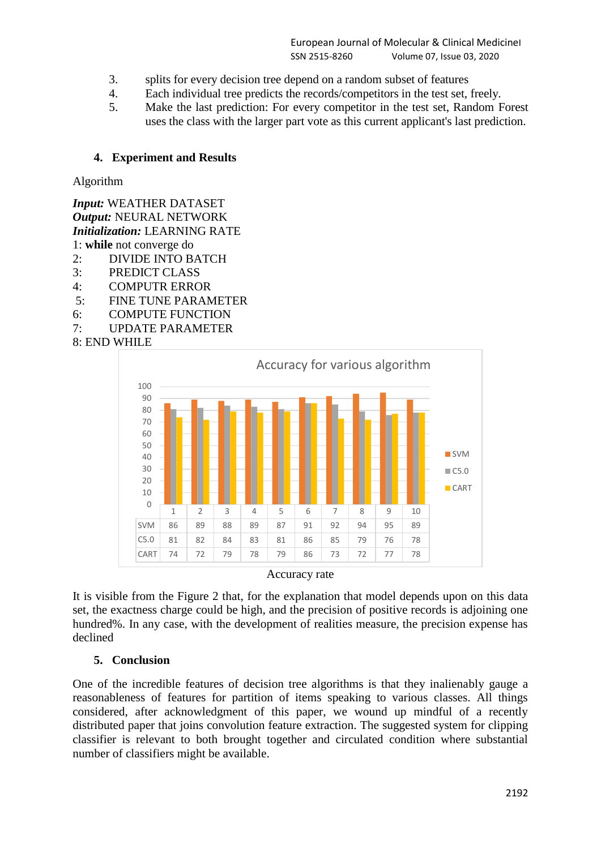- 3. splits for every decision tree depend on a random subset of features
- 4. Each individual tree predicts the records/competitors in the test set, freely.<br>5. Make the last prediction: For every competitor in the test set, Random F
- 5. Make the last prediction: For every competitor in the test set, Random Forest uses the class with the larger part vote as this current applicant's last prediction.

## **4. Experiment and Results**

Algorithm

*Input:* WEATHER DATASET *Output:* NEURAL NETWORK *Initialization:* LEARNING RATE 1: **while** not converge do 2: DIVIDE INTO BATCH

- 3: PREDICT CLASS
- 4: COMPUTR ERROR
- 5: FINE TUNE PARAMETER
- 6: COMPUTE FUNCTION
- 7: UPDATE PARAMETER

8: END WHILE



Accuracy rate

It is visible from the Figure 2 that, for the explanation that model depends upon on this data set, the exactness charge could be high, and the precision of positive records is adjoining one hundred%. In any case, with the development of realities measure, the precision expense has declined

### **5. Conclusion**

One of the incredible features of decision tree algorithms is that they inalienably gauge a reasonableness of features for partition of items speaking to various classes. All things considered, after acknowledgment of this paper, we wound up mindful of a recently distributed paper that joins convolution feature extraction. The suggested system for clipping classifier is relevant to both brought together and circulated condition where substantial number of classifiers might be available.